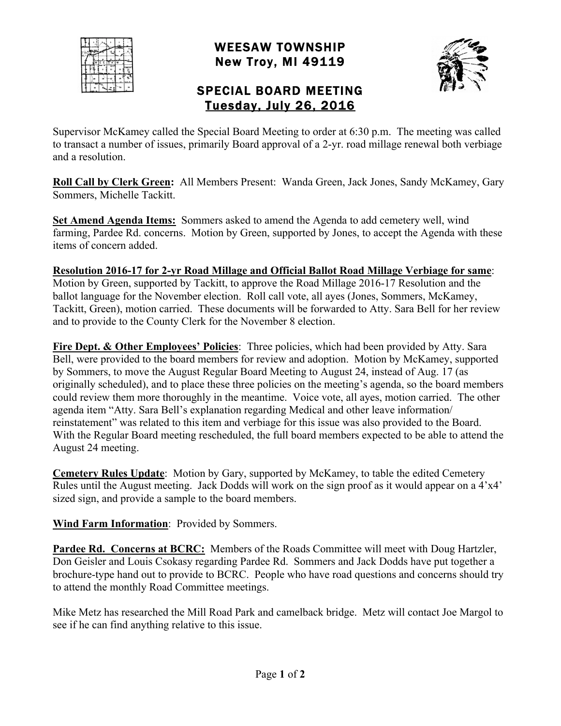

## WEESAW TOWNSHIP New Troy, MI 49119



## SPECIAL BOARD MEETING Tuesday, July 26, 2016

Supervisor McKamey called the Special Board Meeting to order at 6:30 p.m. The meeting was called to transact a number of issues, primarily Board approval of a 2-yr. road millage renewal both verbiage and a resolution.

**Roll Call by Clerk Green:** All Members Present: Wanda Green, Jack Jones, Sandy McKamey, Gary Sommers, Michelle Tackitt.

**Set Amend Agenda Items:** Sommers asked to amend the Agenda to add cemetery well, wind farming, Pardee Rd. concerns. Motion by Green, supported by Jones, to accept the Agenda with these items of concern added.

**Resolution 2016-17 for 2-yr Road Millage and Official Ballot Road Millage Verbiage for same**: Motion by Green, supported by Tackitt, to approve the Road Millage 2016-17 Resolution and the ballot language for the November election. Roll call vote, all ayes (Jones, Sommers, McKamey, Tackitt, Green), motion carried. These documents will be forwarded to Atty. Sara Bell for her review and to provide to the County Clerk for the November 8 election.

**Fire Dept. & Other Employees' Policies**: Three policies, which had been provided by Atty. Sara Bell, were provided to the board members for review and adoption. Motion by McKamey, supported by Sommers, to move the August Regular Board Meeting to August 24, instead of Aug. 17 (as originally scheduled), and to place these three policies on the meeting's agenda, so the board members could review them more thoroughly in the meantime. Voice vote, all ayes, motion carried. The other agenda item "Atty. Sara Bell's explanation regarding Medical and other leave information/ reinstatement" was related to this item and verbiage for this issue was also provided to the Board. With the Regular Board meeting rescheduled, the full board members expected to be able to attend the August 24 meeting.

**Cemetery Rules Update**: Motion by Gary, supported by McKamey, to table the edited Cemetery Rules until the August meeting. Jack Dodds will work on the sign proof as it would appear on a 4'x4' sized sign, and provide a sample to the board members.

**Wind Farm Information**: Provided by Sommers.

**Pardee Rd. Concerns at BCRC:** Members of the Roads Committee will meet with Doug Hartzler, Don Geisler and Louis Csokasy regarding Pardee Rd. Sommers and Jack Dodds have put together a brochure-type hand out to provide to BCRC. People who have road questions and concerns should try to attend the monthly Road Committee meetings.

Mike Metz has researched the Mill Road Park and camelback bridge. Metz will contact Joe Margol to see if he can find anything relative to this issue.